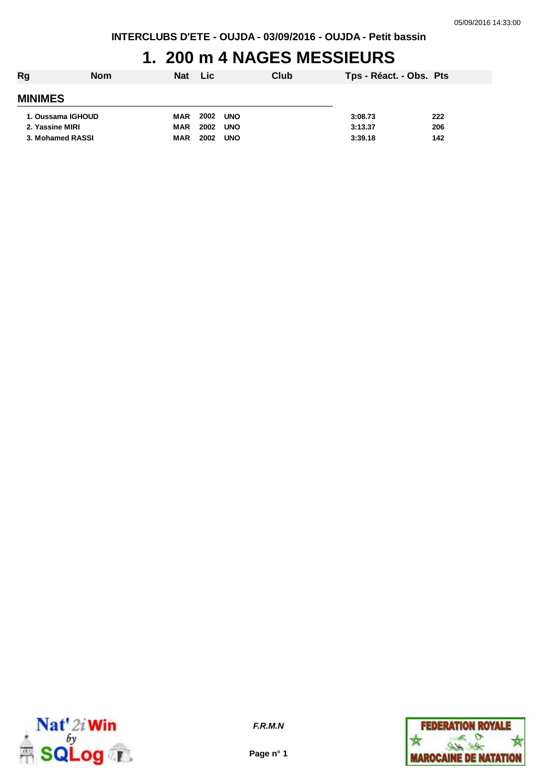#### **1. 200 m 4 NAGES MESSIEURS**

| Rg                | <b>Nom</b> | Nat Lic    |      |            | Club | Tps - Réact. - Obs. Pts |     |
|-------------------|------------|------------|------|------------|------|-------------------------|-----|
| <b>MINIMES</b>    |            |            |      |            |      |                         |     |
| 1. Oussama IGHOUD |            | MAR        | 2002 | <b>UNO</b> |      | 3:08.73                 | 222 |
| 2. Yassine MIRI   |            | <b>MAR</b> | 2002 | <b>UNO</b> |      | 3:13.37                 | 206 |
| 3. Mohamed RASSI  |            | <b>MAR</b> | 2002 | <b>UNO</b> |      | 3:39.18                 | 142 |



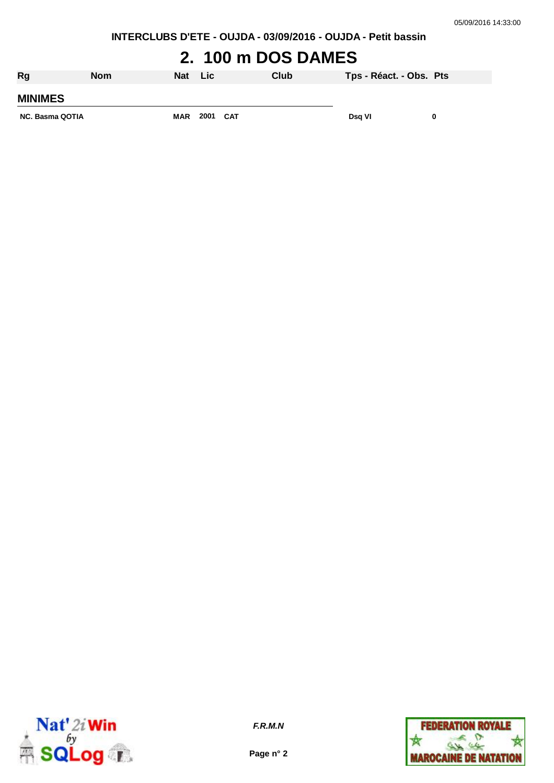**INTERCLUBS D'ETE - OUJDA - 03/09/2016 - OUJDA - Petit bassin**

# **2. 100 m DOS DAMES**

| Rg                     | <b>Nom</b> | <b>Nat</b> | Lic  |     | Club | Tps - Réact. - Obs. Pts |  |
|------------------------|------------|------------|------|-----|------|-------------------------|--|
| <b>MINIMES</b>         |            |            |      |     |      |                         |  |
| <b>NC. Basma QOTIA</b> |            | <b>MAR</b> | 2001 | CAT |      | Dsg VI                  |  |



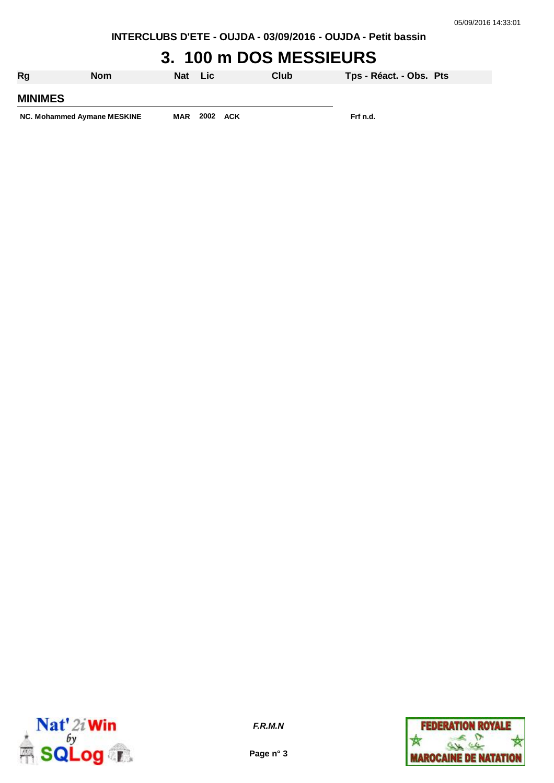**INTERCLUBS D'ETE - OUJDA - 03/09/2016 - OUJDA - Petit bassin**

# **3. 100 m DOS MESSIEURS**

| Rg                          | <b>Nom</b> | Nat        | Lic. |     | Club | Tps - Réact. - Obs. Pts |  |
|-----------------------------|------------|------------|------|-----|------|-------------------------|--|
| <b>MINIMES</b>              |            |            |      |     |      |                         |  |
| NC. Mohammed Aymane MESKINE |            | <b>MAR</b> | 2002 | ACK |      | Frf n.d.                |  |



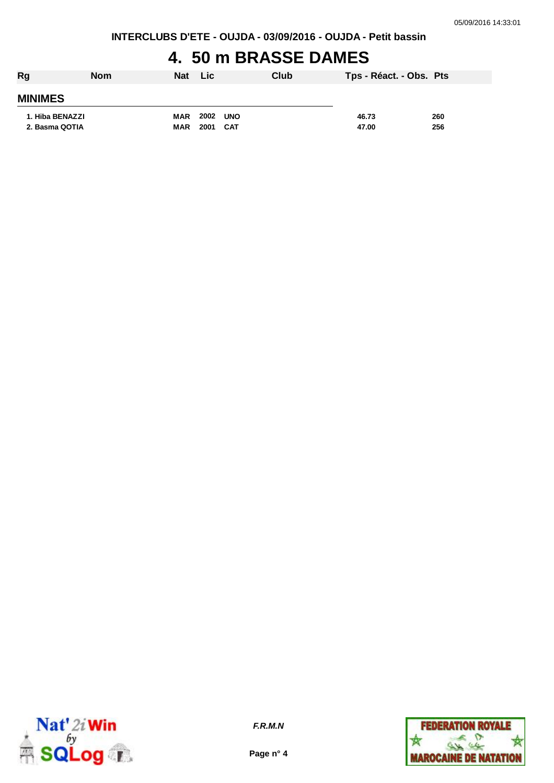#### **4. 50 m BRASSE DAMES**

| Rg              | <b>Nom</b> | <b>Nat</b> | ⊟Lic I   |     | Club | Tps - Réact. - Obs. Pts |     |
|-----------------|------------|------------|----------|-----|------|-------------------------|-----|
| <b>MINIMES</b>  |            |            |          |     |      |                         |     |
| 1. Hiba BENAZZI |            | <b>MAR</b> | 2002 UNO |     |      | 46.73                   | 260 |
| 2. Basma QOTIA  |            | <b>MAR</b> | 2001     | CAT |      | 47.00                   | 256 |



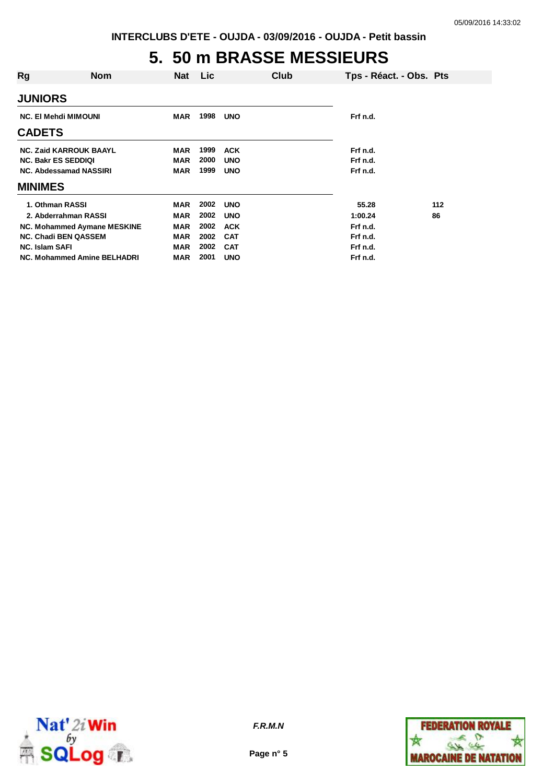# **5. 50 m BRASSE MESSIEURS**

| Rg                            | <b>Nom</b> | Nat        | <b>Lic</b> |            | Club | Tps - Réact. - Obs. Pts |       |
|-------------------------------|------------|------------|------------|------------|------|-------------------------|-------|
|                               |            |            |            |            |      |                         |       |
| <b>JUNIORS</b>                |            |            |            |            |      |                         |       |
| <b>NC. El Mehdi MIMOUNI</b>   |            | <b>MAR</b> | 1998       | <b>UNO</b> |      | Frf n.d.                |       |
| <b>CADETS</b>                 |            |            |            |            |      |                         |       |
| <b>NC. Zaid KARROUK BAAYL</b> |            | <b>MAR</b> | 1999       | <b>ACK</b> |      | Frf n.d.                |       |
| <b>NC. Bakr ES SEDDIQI</b>    |            | <b>MAR</b> | 2000       | <b>UNO</b> |      | Frf n.d.                |       |
| NC. Abdessamad NASSIRI        |            | <b>MAR</b> | 1999       | <b>UNO</b> |      | Frf n.d.                |       |
| <b>MINIMES</b>                |            |            |            |            |      |                         |       |
| 1. Othman RASSI               |            | <b>MAR</b> | 2002       | <b>UNO</b> |      | 55.28                   | $112$ |
| 2. Abderrahman RASSI          |            | MAR        | 2002       | <b>UNO</b> |      | 1:00.24                 | 86    |
| NC. Mohammed Aymane MESKINE   |            | <b>MAR</b> | 2002       | <b>ACK</b> |      | Frf n.d.                |       |
| <b>NC. Chadi BEN QASSEM</b>   |            | <b>MAR</b> | 2002       | <b>CAT</b> |      | Frf n.d.                |       |
| <b>NC. Islam SAFI</b>         |            | <b>MAR</b> | 2002       | <b>CAT</b> |      | Frf n.d.                |       |
| NC. Mohammed Amine BELHADRI   |            | MAR        | 2001       | <b>UNO</b> |      | Frf n.d.                |       |



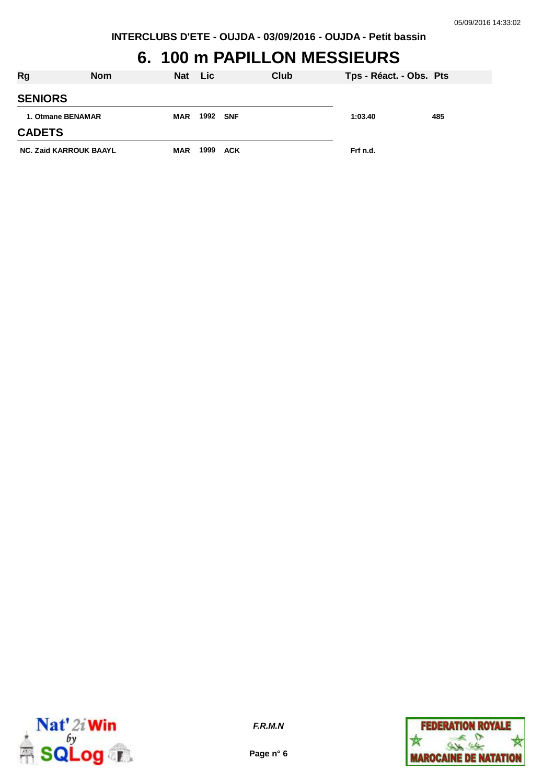### **6. 100 m PAPILLON MESSIEURS**

| Rg                            | <b>Nom</b> | Nat        | <b>Lic</b> |            | Club | Tps - Réact. - Obs. Pts |     |
|-------------------------------|------------|------------|------------|------------|------|-------------------------|-----|
| <b>SENIORS</b>                |            |            |            |            |      |                         |     |
| 1. Otmane BENAMAR             |            | <b>MAR</b> | 1992 SNF   |            |      | 1:03.40                 | 485 |
| <b>CADETS</b>                 |            |            |            |            |      |                         |     |
| <b>NC. Zaid KARROUK BAAYL</b> |            | <b>MAR</b> | 1999       | <b>ACK</b> |      | Frf n.d.                |     |



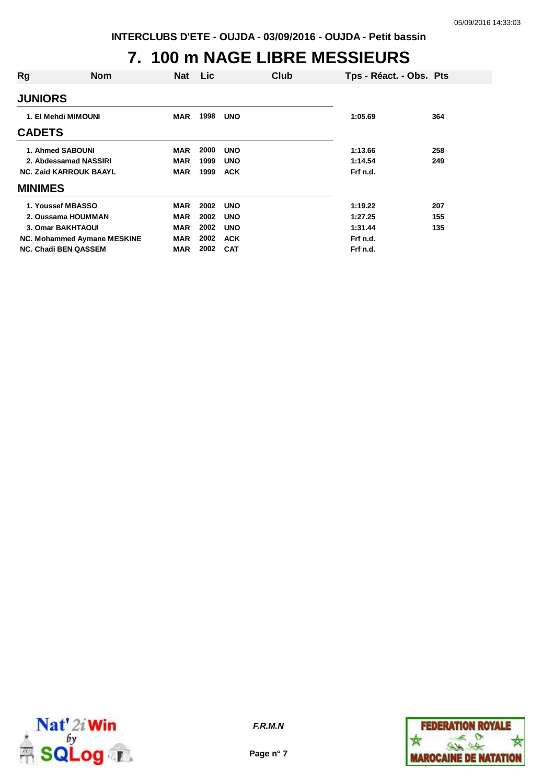#### **7. 100 m NAGE LIBRE MESSIEURS**

| Rg                  | Nom                           | Nat        | <b>Lic</b> | Club       | Tps - Réact. - Obs. Pts |     |
|---------------------|-------------------------------|------------|------------|------------|-------------------------|-----|
| <b>JUNIORS</b>      |                               |            |            |            |                         |     |
| 1. El Mehdi MIMOUNI |                               | MAR        | 1998       | <b>UNO</b> | 1:05.69                 | 364 |
| <b>CADETS</b>       |                               |            |            |            |                         |     |
|                     | 1. Ahmed SABOUNI              | MAR        | 2000       | <b>UNO</b> | 1:13.66                 | 258 |
|                     | 2. Abdessamad NASSIRI         | <b>MAR</b> | 1999       | <b>UNO</b> | 1:14.54                 | 249 |
|                     | <b>NC. Zaid KARROUK BAAYL</b> | <b>MAR</b> | 1999       | <b>ACK</b> | Frf n.d.                |     |
| <b>MINIMES</b>      |                               |            |            |            |                         |     |
|                     | 1. Youssef MBASSO             | <b>MAR</b> | 2002       | <b>UNO</b> | 1:19.22                 | 207 |
|                     | 2. Oussama HOUMMAN            | <b>MAR</b> | 2002       | <b>UNO</b> | 1:27.25                 | 155 |
|                     | <b>3. Omar BAKHTAOUI</b>      | <b>MAR</b> | 2002       | <b>UNO</b> | 1:31.44                 | 135 |
|                     | NC. Mohammed Aymane MESKINE   | <b>MAR</b> | 2002       | <b>ACK</b> | Frf n.d.                |     |
|                     | <b>NC. Chadi BEN QASSEM</b>   | MAR        | 2002       | <b>CAT</b> | Frf n.d.                |     |



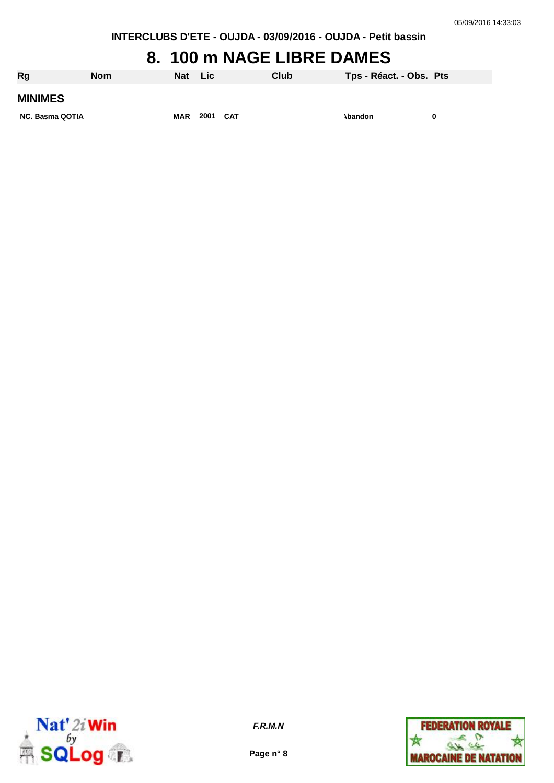#### **8. 100 m NAGE LIBRE DAMES**

| <b>Rg</b>              | <b>Nom</b> | <b>Nat</b> | Lic      | Club | Tps - Réact. - Obs. Pts |   |
|------------------------|------------|------------|----------|------|-------------------------|---|
| <b>MINIMES</b>         |            |            |          |      |                         |   |
| <b>NC. Basma QOTIA</b> |            | <b>MAR</b> | 2001 CAT |      | Abandon                 | 0 |



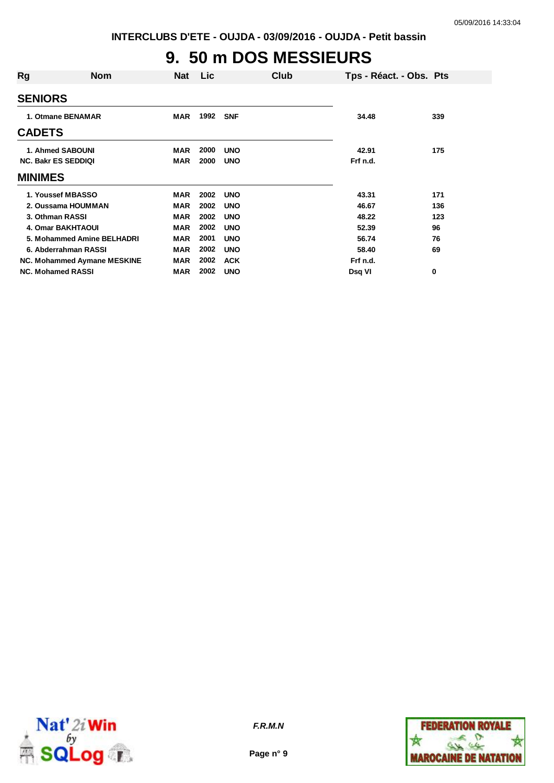# **9. 50 m DOS MESSIEURS**

|                             | <b>Nat</b> | <b>Lic</b> |            | Club | Tps - Réact. - Obs. Pts |     |
|-----------------------------|------------|------------|------------|------|-------------------------|-----|
|                             |            |            |            |      |                         |     |
| 1. Otmane BENAMAR           | <b>MAR</b> | 1992       | <b>SNF</b> |      | 34.48                   | 339 |
|                             |            |            |            |      |                         |     |
| 1. Ahmed SABOUNI            | <b>MAR</b> | 2000       | <b>UNO</b> |      | 42.91                   | 175 |
| <b>NC. Bakr ES SEDDIQI</b>  | <b>MAR</b> | 2000       | <b>UNO</b> |      | Frf n.d.                |     |
|                             |            |            |            |      |                         |     |
| 1. Youssef MBASSO           | <b>MAR</b> | 2002       | <b>UNO</b> |      | 43.31                   | 171 |
| 2. Oussama HOUMMAN          | <b>MAR</b> | 2002       | <b>UNO</b> |      | 46.67                   | 136 |
| 3. Othman RASSI             | <b>MAR</b> | 2002       | <b>UNO</b> |      | 48.22                   | 123 |
| <b>4. Omar BAKHTAOUI</b>    | <b>MAR</b> | 2002       | <b>UNO</b> |      | 52.39                   | 96  |
| 5. Mohammed Amine BELHADRI  | <b>MAR</b> | 2001       | <b>UNO</b> |      | 56.74                   | 76  |
| 6. Abderrahman RASSI        | <b>MAR</b> | 2002       | <b>UNO</b> |      | 58.40                   | 69  |
| NC. Mohammed Aymane MESKINE | <b>MAR</b> | 2002       | <b>ACK</b> |      | Frf n.d.                |     |
| <b>NC. Mohamed RASSI</b>    | <b>MAR</b> | 2002       | <b>UNO</b> |      | Dsq VI                  | 0   |
|                             | <b>Nom</b> |            |            |      |                         |     |



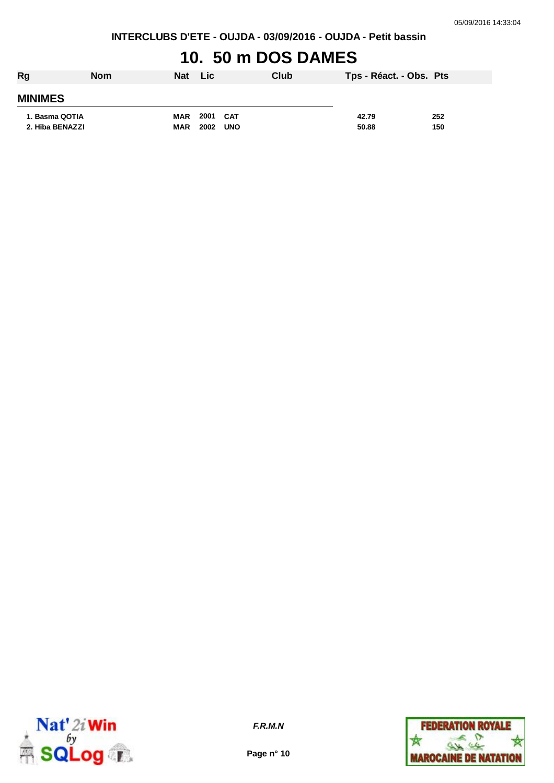**INTERCLUBS D'ETE - OUJDA - 03/09/2016 - OUJDA - Petit bassin**

# **10. 50 m DOS DAMES**

| Rg              | <b>Nom</b> | <b>Nat</b> | Lic  |            | Club | Tps - Réact. - Obs. Pts |     |
|-----------------|------------|------------|------|------------|------|-------------------------|-----|
| <b>MINIMES</b>  |            |            |      |            |      |                         |     |
| 1. Basma QOTIA  |            | <b>MAR</b> | 2001 | <b>CAT</b> |      | 42.79                   | 252 |
| 2. Hiba BENAZZI |            | <b>MAR</b> | 2002 | <b>UNO</b> |      | 50.88                   | 150 |



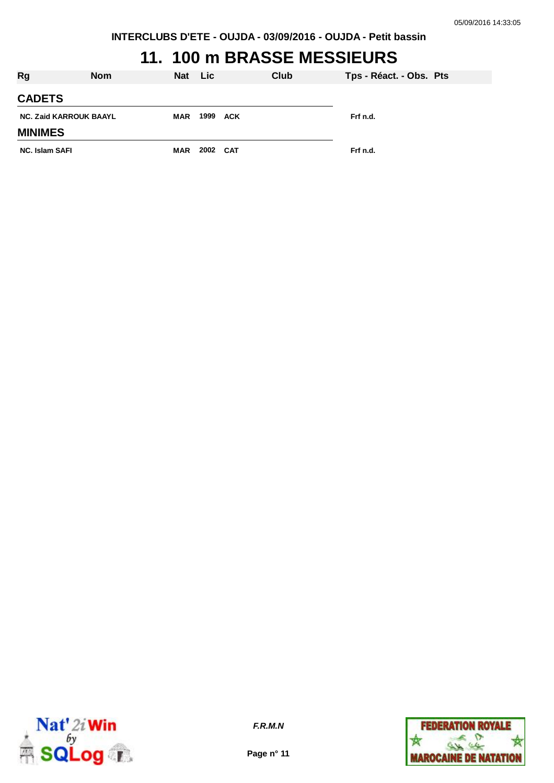### **11. 100 m BRASSE MESSIEURS**

| Rg                            | <b>Nom</b> | Nat Lic    |          | Club | Tps - Réact. - Obs. Pts |
|-------------------------------|------------|------------|----------|------|-------------------------|
| <b>CADETS</b>                 |            |            |          |      |                         |
| <b>NC. Zaid KARROUK BAAYL</b> |            | MAR        | 1999 ACK |      | Frf n.d.                |
| <b>MINIMES</b>                |            |            |          |      |                         |
| <b>NC. Islam SAFI</b>         |            | <b>MAR</b> | 2002 CAT |      | Frf n.d.                |